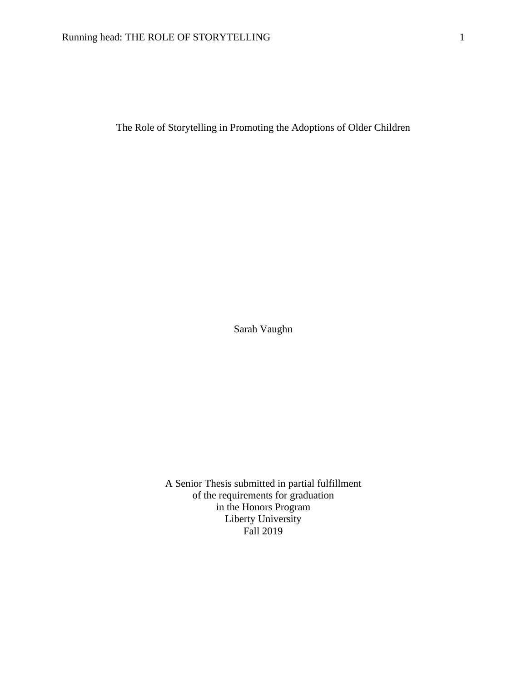The Role of Storytelling in Promoting the Adoptions of Older Children

Sarah Vaughn

A Senior Thesis submitted in partial fulfillment of the requirements for graduation in the Honors Program Liberty University Fall 2019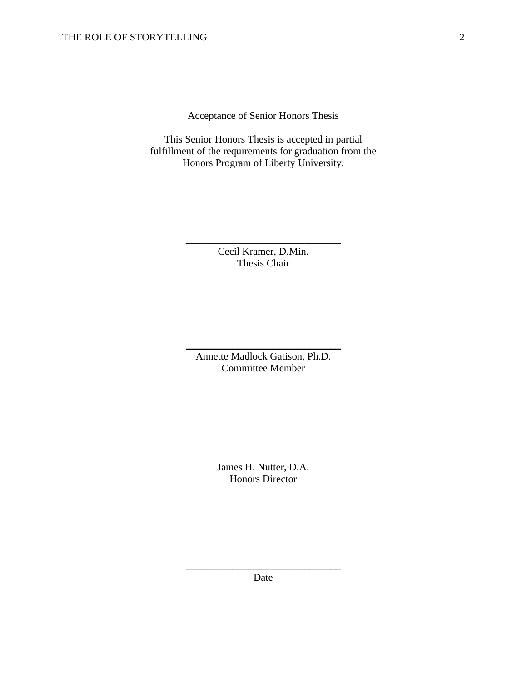Acceptance of Senior Honors Thesis

This Senior Honors Thesis is accepted in partial fulfillment of the requirements for graduation from the Honors Program of Liberty University.

> Cecil Kramer, D.Min. Thesis Chair

\_\_\_\_\_\_\_\_\_\_\_\_\_\_\_\_\_\_\_\_\_\_\_\_\_\_\_\_\_\_

Annette Madlock Gatison, Ph.D. Committee Member

\_\_\_\_\_\_\_\_\_\_\_\_\_\_\_\_\_\_\_\_\_\_\_\_\_\_\_\_\_\_

James H. Nutter, D.A. Honors Director

\_\_\_\_\_\_\_\_\_\_\_\_\_\_\_\_\_\_\_\_\_\_\_\_\_\_\_\_\_\_

\_\_\_\_\_\_\_\_\_\_\_\_\_\_\_\_\_\_\_\_\_\_\_\_\_\_\_\_\_\_ Date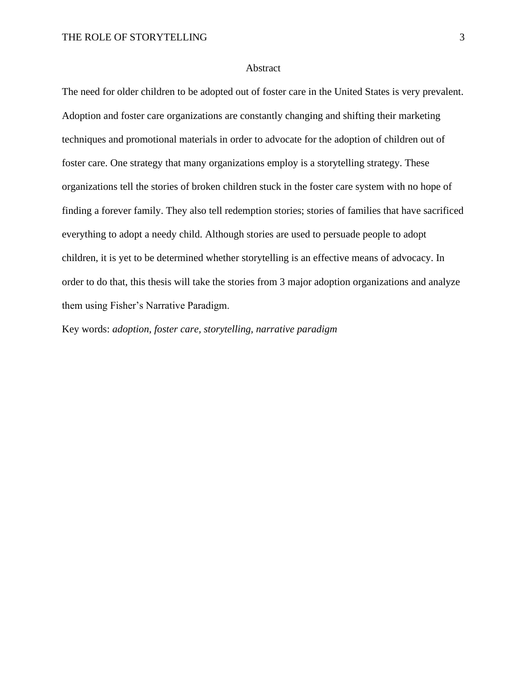### Abstract

The need for older children to be adopted out of foster care in the United States is very prevalent. Adoption and foster care organizations are constantly changing and shifting their marketing techniques and promotional materials in order to advocate for the adoption of children out of foster care. One strategy that many organizations employ is a storytelling strategy. These organizations tell the stories of broken children stuck in the foster care system with no hope of finding a forever family. They also tell redemption stories; stories of families that have sacrificed everything to adopt a needy child. Although stories are used to persuade people to adopt children, it is yet to be determined whether storytelling is an effective means of advocacy. In order to do that, this thesis will take the stories from 3 major adoption organizations and analyze them using Fisher's Narrative Paradigm.

Key words: *adoption, foster care, storytelling, narrative paradigm*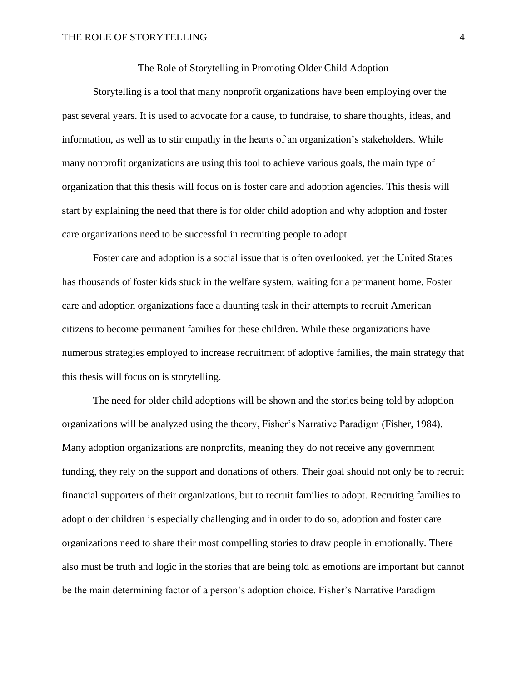### The Role of Storytelling in Promoting Older Child Adoption

Storytelling is a tool that many nonprofit organizations have been employing over the past several years. It is used to advocate for a cause, to fundraise, to share thoughts, ideas, and information, as well as to stir empathy in the hearts of an organization's stakeholders. While many nonprofit organizations are using this tool to achieve various goals, the main type of organization that this thesis will focus on is foster care and adoption agencies. This thesis will start by explaining the need that there is for older child adoption and why adoption and foster care organizations need to be successful in recruiting people to adopt.

Foster care and adoption is a social issue that is often overlooked, yet the United States has thousands of foster kids stuck in the welfare system, waiting for a permanent home. Foster care and adoption organizations face a daunting task in their attempts to recruit American citizens to become permanent families for these children. While these organizations have numerous strategies employed to increase recruitment of adoptive families, the main strategy that this thesis will focus on is storytelling.

The need for older child adoptions will be shown and the stories being told by adoption organizations will be analyzed using the theory, Fisher's Narrative Paradigm (Fisher, 1984). Many adoption organizations are nonprofits, meaning they do not receive any government funding, they rely on the support and donations of others. Their goal should not only be to recruit financial supporters of their organizations, but to recruit families to adopt. Recruiting families to adopt older children is especially challenging and in order to do so, adoption and foster care organizations need to share their most compelling stories to draw people in emotionally. There also must be truth and logic in the stories that are being told as emotions are important but cannot be the main determining factor of a person's adoption choice. Fisher's Narrative Paradigm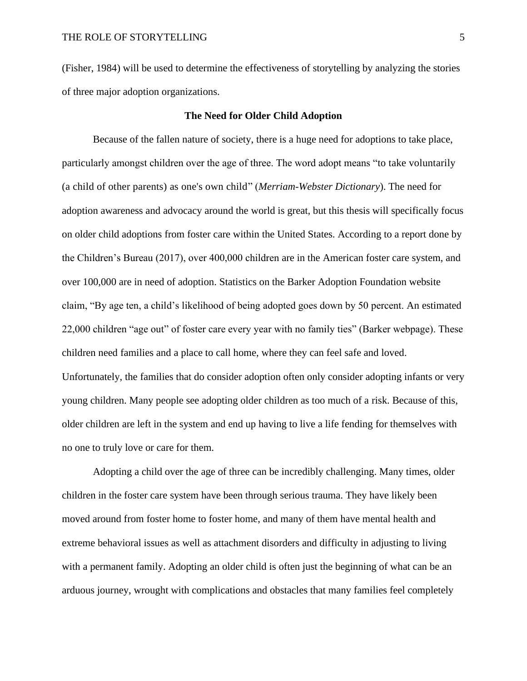(Fisher, 1984) will be used to determine the effectiveness of storytelling by analyzing the stories of three major adoption organizations.

### **The Need for Older Child Adoption**

Because of the fallen nature of society, there is a huge need for adoptions to take place, particularly amongst children over the age of three. The word adopt means "to take voluntarily (a child of other parents) as one's own child" (*Merriam-Webster Dictionary*). The need for adoption awareness and advocacy around the world is great, but this thesis will specifically focus on older child adoptions from foster care within the United States. According to a report done by the Children's Bureau (2017), over 400,000 children are in the American foster care system, and over 100,000 are in need of adoption. Statistics on the Barker Adoption Foundation website claim, "By age ten, a child's likelihood of being adopted goes down by 50 percent. An estimated 22,000 children "age out" of foster care every year with no family ties" (Barker webpage). These children need families and a place to call home, where they can feel safe and loved. Unfortunately, the families that do consider adoption often only consider adopting infants or very young children. Many people see adopting older children as too much of a risk. Because of this, older children are left in the system and end up having to live a life fending for themselves with no one to truly love or care for them.

Adopting a child over the age of three can be incredibly challenging. Many times, older children in the foster care system have been through serious trauma. They have likely been moved around from foster home to foster home, and many of them have mental health and extreme behavioral issues as well as attachment disorders and difficulty in adjusting to living with a permanent family. Adopting an older child is often just the beginning of what can be an arduous journey, wrought with complications and obstacles that many families feel completely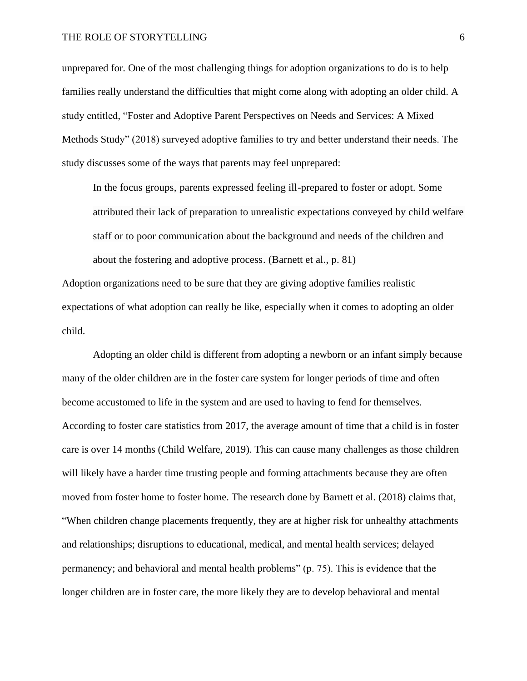unprepared for. One of the most challenging things for adoption organizations to do is to help families really understand the difficulties that might come along with adopting an older child. A study entitled, "Foster and Adoptive Parent Perspectives on Needs and Services: A Mixed Methods Study" (2018) surveyed adoptive families to try and better understand their needs. The study discusses some of the ways that parents may feel unprepared:

In the focus groups, parents expressed feeling ill-prepared to foster or adopt. Some attributed their lack of preparation to unrealistic expectations conveyed by child welfare staff or to poor communication about the background and needs of the children and about the fostering and adoptive process. (Barnett et al., p. 81)

Adoption organizations need to be sure that they are giving adoptive families realistic expectations of what adoption can really be like, especially when it comes to adopting an older child.

Adopting an older child is different from adopting a newborn or an infant simply because many of the older children are in the foster care system for longer periods of time and often become accustomed to life in the system and are used to having to fend for themselves. According to foster care statistics from 2017, the average amount of time that a child is in foster care is over 14 months (Child Welfare, 2019). This can cause many challenges as those children will likely have a harder time trusting people and forming attachments because they are often moved from foster home to foster home. The research done by Barnett et al. (2018) claims that, "When children change placements frequently, they are at higher risk for unhealthy attachments and relationships; disruptions to educational, medical, and mental health services; delayed permanency; and behavioral and mental health problems" (p. 75). This is evidence that the longer children are in foster care, the more likely they are to develop behavioral and mental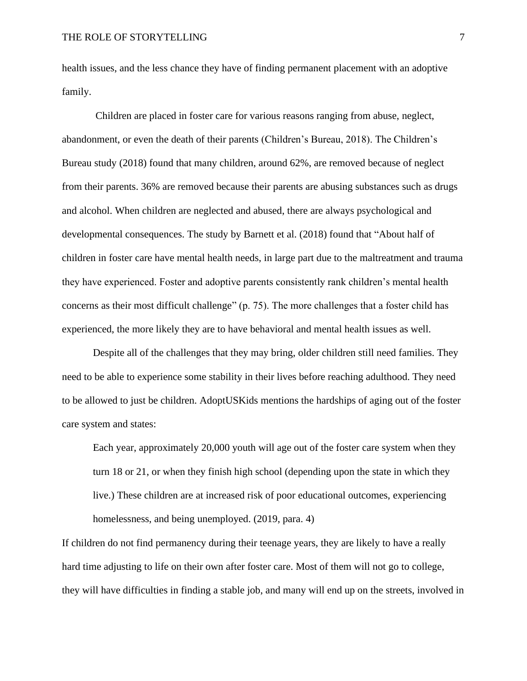health issues, and the less chance they have of finding permanent placement with an adoptive family.

Children are placed in foster care for various reasons ranging from abuse, neglect, abandonment, or even the death of their parents (Children's Bureau, 2018). The Children's Bureau study (2018) found that many children, around 62%, are removed because of neglect from their parents. 36% are removed because their parents are abusing substances such as drugs and alcohol. When children are neglected and abused, there are always psychological and developmental consequences. The study by Barnett et al. (2018) found that "About half of children in foster care have mental health needs, in large part due to the maltreatment and trauma they have experienced. Foster and adoptive parents consistently rank children's mental health concerns as their most difficult challenge" (p. 75). The more challenges that a foster child has experienced, the more likely they are to have behavioral and mental health issues as well.

Despite all of the challenges that they may bring, older children still need families. They need to be able to experience some stability in their lives before reaching adulthood. They need to be allowed to just be children. AdoptUSKids mentions the hardships of aging out of the foster care system and states:

Each year, approximately 20,000 youth will age out of the foster care system when they turn 18 or 21, or when they finish high school (depending upon the state in which they live.) These children are at increased risk of poor educational outcomes, experiencing homelessness, and being unemployed. (2019, para. 4)

If children do not find permanency during their teenage years, they are likely to have a really hard time adjusting to life on their own after foster care. Most of them will not go to college, they will have difficulties in finding a stable job, and many will end up on the streets, involved in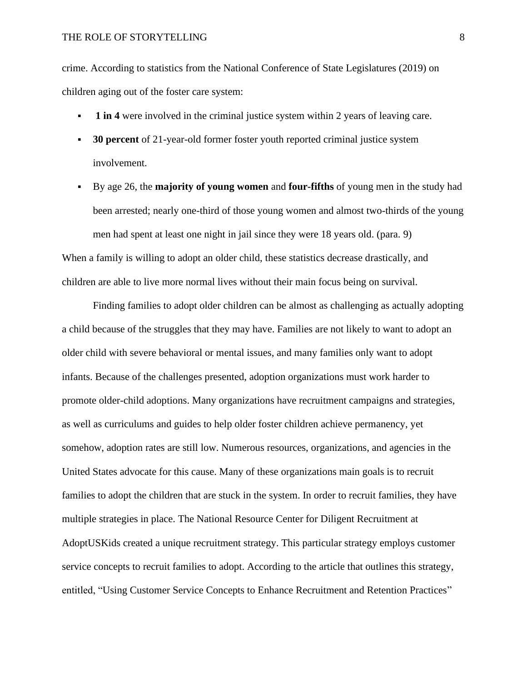crime. According to statistics from the National Conference of State Legislatures (2019) on children aging out of the foster care system:

- **1 in 4** were involved in the criminal justice system within 2 years of leaving care.
- **30 percent** of 21-year-old former foster youth reported criminal justice system involvement.
- By age 26, the **majority of young women** and **four-fifths** of young men in the study had been arrested; nearly one-third of those young women and almost two-thirds of the young men had spent at least one night in jail since they were 18 years old. (para. 9)

When a family is willing to adopt an older child, these statistics decrease drastically, and children are able to live more normal lives without their main focus being on survival.

Finding families to adopt older children can be almost as challenging as actually adopting a child because of the struggles that they may have. Families are not likely to want to adopt an older child with severe behavioral or mental issues, and many families only want to adopt infants. Because of the challenges presented, adoption organizations must work harder to promote older-child adoptions. Many organizations have recruitment campaigns and strategies, as well as curriculums and guides to help older foster children achieve permanency, yet somehow, adoption rates are still low. Numerous resources, organizations, and agencies in the United States advocate for this cause. Many of these organizations main goals is to recruit families to adopt the children that are stuck in the system. In order to recruit families, they have multiple strategies in place. The National Resource Center for Diligent Recruitment at AdoptUSKids created a unique recruitment strategy. This particular strategy employs customer service concepts to recruit families to adopt. According to the article that outlines this strategy, entitled, "Using Customer Service Concepts to Enhance Recruitment and Retention Practices"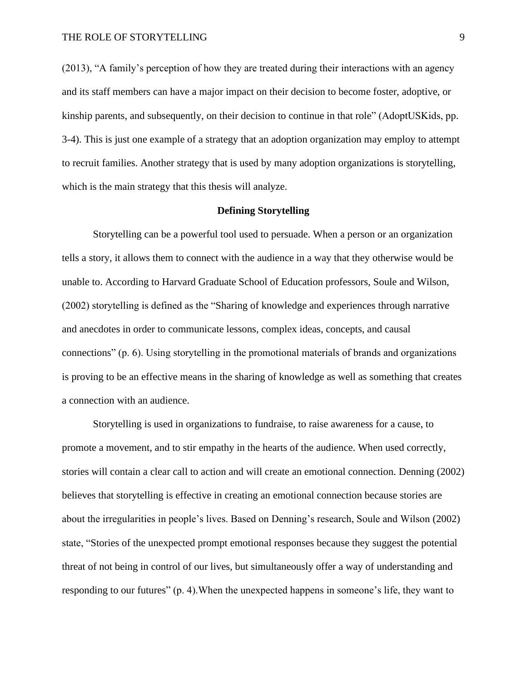(2013), "A family's perception of how they are treated during their interactions with an agency and its staff members can have a major impact on their decision to become foster, adoptive, or kinship parents, and subsequently, on their decision to continue in that role" (AdoptUSKids, pp. 3-4). This is just one example of a strategy that an adoption organization may employ to attempt to recruit families. Another strategy that is used by many adoption organizations is storytelling, which is the main strategy that this thesis will analyze.

### **Defining Storytelling**

Storytelling can be a powerful tool used to persuade. When a person or an organization tells a story, it allows them to connect with the audience in a way that they otherwise would be unable to. According to Harvard Graduate School of Education professors, Soule and Wilson, (2002) storytelling is defined as the "Sharing of knowledge and experiences through narrative and anecdotes in order to communicate lessons, complex ideas, concepts, and causal connections" (p. 6). Using storytelling in the promotional materials of brands and organizations is proving to be an effective means in the sharing of knowledge as well as something that creates a connection with an audience.

Storytelling is used in organizations to fundraise, to raise awareness for a cause, to promote a movement, and to stir empathy in the hearts of the audience. When used correctly, stories will contain a clear call to action and will create an emotional connection. Denning (2002) believes that storytelling is effective in creating an emotional connection because stories are about the irregularities in people's lives. Based on Denning's research, Soule and Wilson (2002) state, "Stories of the unexpected prompt emotional responses because they suggest the potential threat of not being in control of our lives, but simultaneously offer a way of understanding and responding to our futures" (p. 4). When the unexpected happens in someone's life, they want to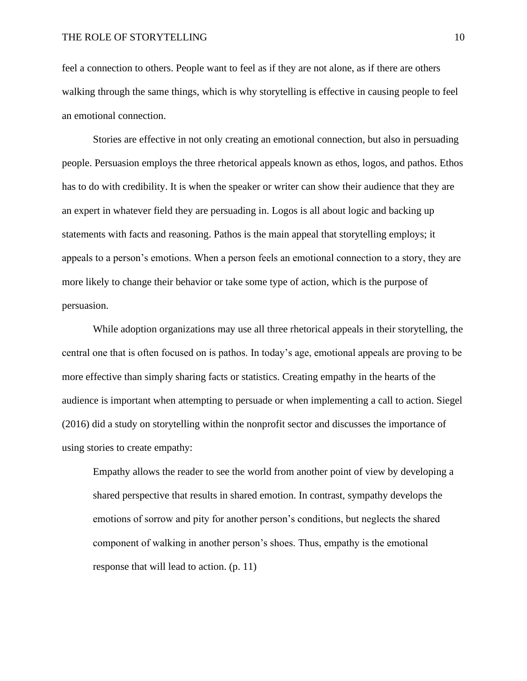feel a connection to others. People want to feel as if they are not alone, as if there are others walking through the same things, which is why storytelling is effective in causing people to feel an emotional connection.

Stories are effective in not only creating an emotional connection, but also in persuading people. Persuasion employs the three rhetorical appeals known as ethos, logos, and pathos. Ethos has to do with credibility. It is when the speaker or writer can show their audience that they are an expert in whatever field they are persuading in. Logos is all about logic and backing up statements with facts and reasoning. Pathos is the main appeal that storytelling employs; it appeals to a person's emotions. When a person feels an emotional connection to a story, they are more likely to change their behavior or take some type of action, which is the purpose of persuasion.

While adoption organizations may use all three rhetorical appeals in their storytelling, the central one that is often focused on is pathos. In today's age, emotional appeals are proving to be more effective than simply sharing facts or statistics. Creating empathy in the hearts of the audience is important when attempting to persuade or when implementing a call to action. Siegel (2016) did a study on storytelling within the nonprofit sector and discusses the importance of using stories to create empathy:

Empathy allows the reader to see the world from another point of view by developing a shared perspective that results in shared emotion. In contrast, sympathy develops the emotions of sorrow and pity for another person's conditions, but neglects the shared component of walking in another person's shoes. Thus, empathy is the emotional response that will lead to action. (p. 11)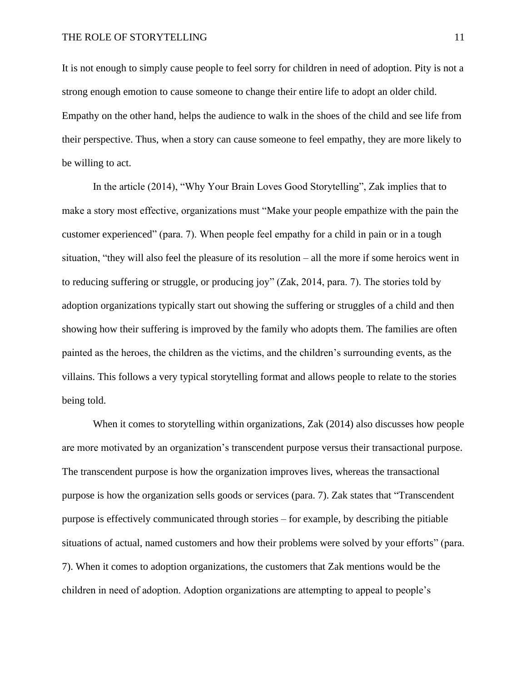It is not enough to simply cause people to feel sorry for children in need of adoption. Pity is not a strong enough emotion to cause someone to change their entire life to adopt an older child. Empathy on the other hand, helps the audience to walk in the shoes of the child and see life from their perspective. Thus, when a story can cause someone to feel empathy, they are more likely to be willing to act.

In the article (2014), "Why Your Brain Loves Good Storytelling", Zak implies that to make a story most effective, organizations must "Make your people empathize with the pain the customer experienced" (para. 7). When people feel empathy for a child in pain or in a tough situation, "they will also feel the pleasure of its resolution – all the more if some heroics went in to reducing suffering or struggle, or producing joy" (Zak, 2014, para. 7). The stories told by adoption organizations typically start out showing the suffering or struggles of a child and then showing how their suffering is improved by the family who adopts them. The families are often painted as the heroes, the children as the victims, and the children's surrounding events, as the villains. This follows a very typical storytelling format and allows people to relate to the stories being told.

When it comes to storytelling within organizations, Zak (2014) also discusses how people are more motivated by an organization's transcendent purpose versus their transactional purpose. The transcendent purpose is how the organization improves lives, whereas the transactional purpose is how the organization sells goods or services (para. 7). Zak states that "Transcendent purpose is effectively communicated through stories – for example, by describing the pitiable situations of actual, named customers and how their problems were solved by your efforts" (para. 7). When it comes to adoption organizations, the customers that Zak mentions would be the children in need of adoption. Adoption organizations are attempting to appeal to people's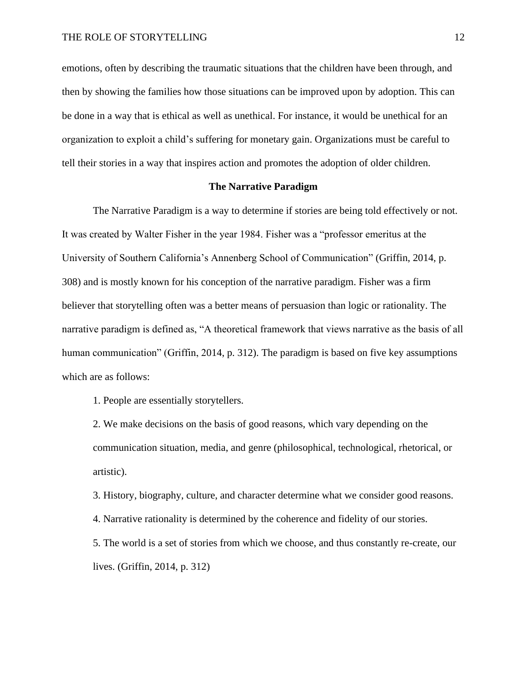emotions, often by describing the traumatic situations that the children have been through, and then by showing the families how those situations can be improved upon by adoption. This can be done in a way that is ethical as well as unethical. For instance, it would be unethical for an organization to exploit a child's suffering for monetary gain. Organizations must be careful to tell their stories in a way that inspires action and promotes the adoption of older children.

## **The Narrative Paradigm**

The Narrative Paradigm is a way to determine if stories are being told effectively or not. It was created by Walter Fisher in the year 1984. Fisher was a "professor emeritus at the University of Southern California's Annenberg School of Communication" (Griffin, 2014, p. 308) and is mostly known for his conception of the narrative paradigm. Fisher was a firm believer that storytelling often was a better means of persuasion than logic or rationality. The narrative paradigm is defined as, "A theoretical framework that views narrative as the basis of all human communication" (Griffin, 2014, p. 312). The paradigm is based on five key assumptions which are as follows:

1. People are essentially storytellers.

2. We make decisions on the basis of good reasons, which vary depending on the communication situation, media, and genre (philosophical, technological, rhetorical, or artistic).

3. History, biography, culture, and character determine what we consider good reasons.

4. Narrative rationality is determined by the coherence and fidelity of our stories.

5. The world is a set of stories from which we choose, and thus constantly re-create, our lives. (Griffin, 2014, p. 312)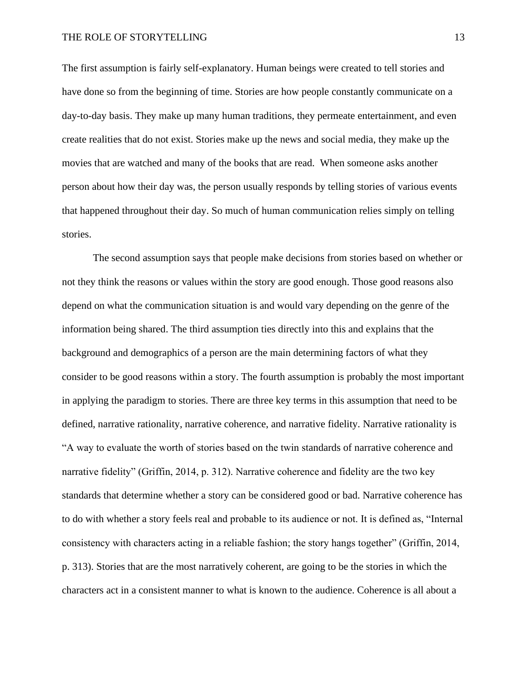The first assumption is fairly self-explanatory. Human beings were created to tell stories and have done so from the beginning of time. Stories are how people constantly communicate on a day-to-day basis. They make up many human traditions, they permeate entertainment, and even create realities that do not exist. Stories make up the news and social media, they make up the movies that are watched and many of the books that are read. When someone asks another person about how their day was, the person usually responds by telling stories of various events that happened throughout their day. So much of human communication relies simply on telling stories.

The second assumption says that people make decisions from stories based on whether or not they think the reasons or values within the story are good enough. Those good reasons also depend on what the communication situation is and would vary depending on the genre of the information being shared. The third assumption ties directly into this and explains that the background and demographics of a person are the main determining factors of what they consider to be good reasons within a story. The fourth assumption is probably the most important in applying the paradigm to stories. There are three key terms in this assumption that need to be defined, narrative rationality, narrative coherence, and narrative fidelity. Narrative rationality is "A way to evaluate the worth of stories based on the twin standards of narrative coherence and narrative fidelity" (Griffin, 2014, p. 312). Narrative coherence and fidelity are the two key standards that determine whether a story can be considered good or bad. Narrative coherence has to do with whether a story feels real and probable to its audience or not. It is defined as, "Internal consistency with characters acting in a reliable fashion; the story hangs together" (Griffin, 2014, p. 313). Stories that are the most narratively coherent, are going to be the stories in which the characters act in a consistent manner to what is known to the audience. Coherence is all about a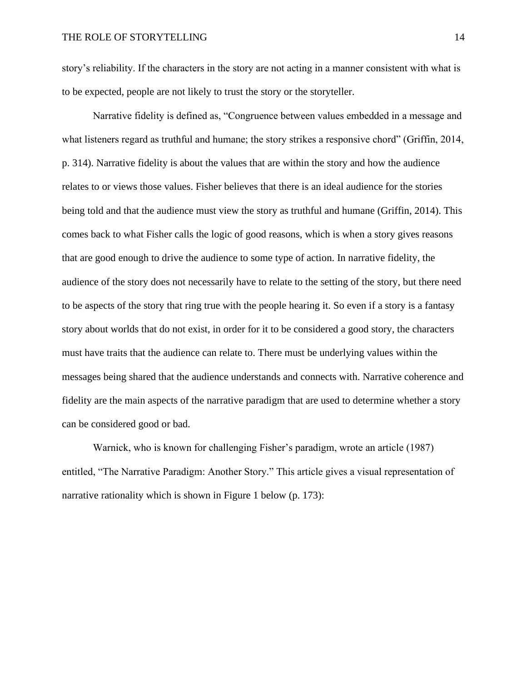story's reliability. If the characters in the story are not acting in a manner consistent with what is to be expected, people are not likely to trust the story or the storyteller.

Narrative fidelity is defined as, "Congruence between values embedded in a message and what listeners regard as truthful and humane; the story strikes a responsive chord" (Griffin, 2014, p. 314). Narrative fidelity is about the values that are within the story and how the audience relates to or views those values. Fisher believes that there is an ideal audience for the stories being told and that the audience must view the story as truthful and humane (Griffin, 2014). This comes back to what Fisher calls the logic of good reasons, which is when a story gives reasons that are good enough to drive the audience to some type of action. In narrative fidelity, the audience of the story does not necessarily have to relate to the setting of the story, but there need to be aspects of the story that ring true with the people hearing it. So even if a story is a fantasy story about worlds that do not exist, in order for it to be considered a good story, the characters must have traits that the audience can relate to. There must be underlying values within the messages being shared that the audience understands and connects with. Narrative coherence and fidelity are the main aspects of the narrative paradigm that are used to determine whether a story can be considered good or bad.

Warnick, who is known for challenging Fisher's paradigm, wrote an article (1987) entitled, "The Narrative Paradigm: Another Story." This article gives a visual representation of narrative rationality which is shown in Figure 1 below (p. 173):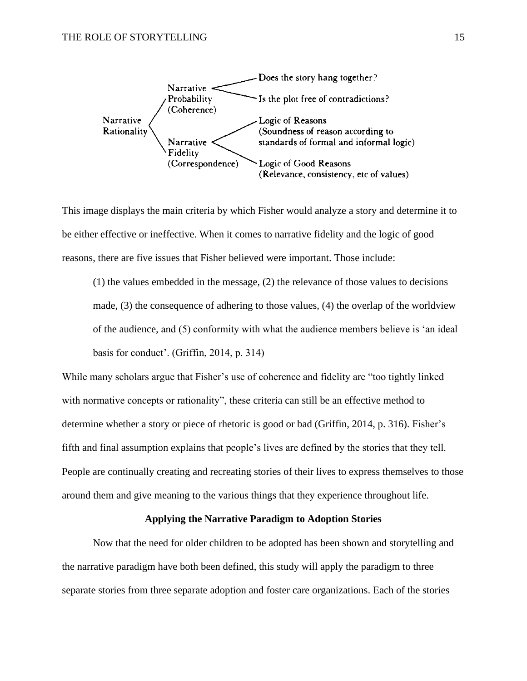

This image displays the main criteria by which Fisher would analyze a story and determine it to be either effective or ineffective. When it comes to narrative fidelity and the logic of good reasons, there are five issues that Fisher believed were important. Those include:

(1) the values embedded in the message, (2) the relevance of those values to decisions made, (3) the consequence of adhering to those values, (4) the overlap of the worldview of the audience, and (5) conformity with what the audience members believe is 'an ideal basis for conduct'. (Griffin, 2014, p. 314)

While many scholars argue that Fisher's use of coherence and fidelity are "too tightly linked with normative concepts or rationality", these criteria can still be an effective method to determine whether a story or piece of rhetoric is good or bad (Griffin, 2014, p. 316). Fisher's fifth and final assumption explains that people's lives are defined by the stories that they tell. People are continually creating and recreating stories of their lives to express themselves to those around them and give meaning to the various things that they experience throughout life.

# **Applying the Narrative Paradigm to Adoption Stories**

Now that the need for older children to be adopted has been shown and storytelling and the narrative paradigm have both been defined, this study will apply the paradigm to three separate stories from three separate adoption and foster care organizations. Each of the stories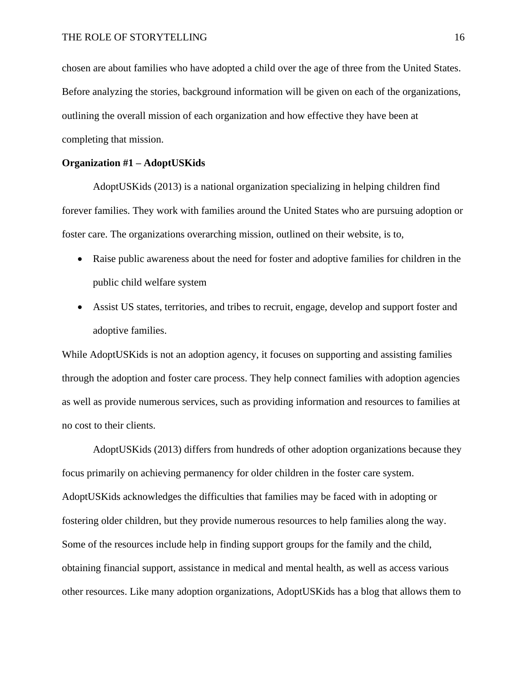chosen are about families who have adopted a child over the age of three from the United States. Before analyzing the stories, background information will be given on each of the organizations, outlining the overall mission of each organization and how effective they have been at completing that mission.

## **Organization #1 – AdoptUSKids**

AdoptUSKids (2013) is a national organization specializing in helping children find forever families. They work with families around the United States who are pursuing adoption or foster care. The organizations overarching mission, outlined on their website, is to,

- Raise public awareness about the need for foster and adoptive families for children in the public child welfare system
- Assist US states, territories, and tribes to recruit, engage, develop and support foster and adoptive families.

While AdoptUSKids is not an adoption agency, it focuses on supporting and assisting families through the adoption and foster care process. They help connect families with adoption agencies as well as provide numerous services, such as providing information and resources to families at no cost to their clients.

AdoptUSKids (2013) differs from hundreds of other adoption organizations because they focus primarily on achieving permanency for older children in the foster care system. AdoptUSKids acknowledges the difficulties that families may be faced with in adopting or fostering older children, but they provide numerous resources to help families along the way. Some of the resources include help in finding support groups for the family and the child, obtaining financial support, assistance in medical and mental health, as well as access various other resources. Like many adoption organizations, AdoptUSKids has a blog that allows them to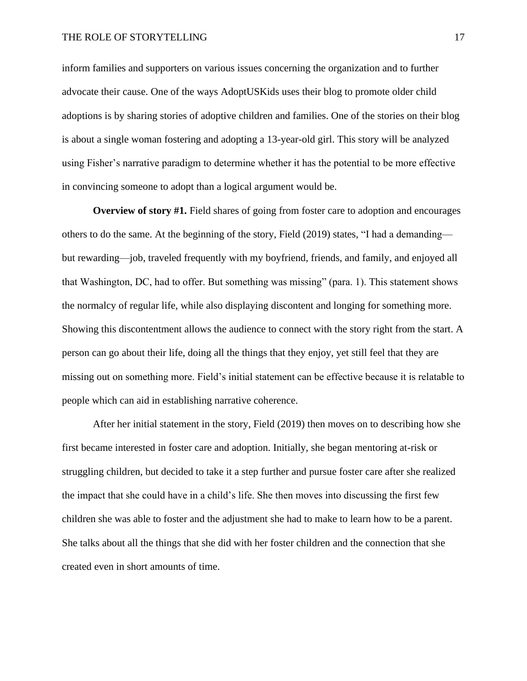inform families and supporters on various issues concerning the organization and to further advocate their cause. One of the ways AdoptUSKids uses their blog to promote older child adoptions is by sharing stories of adoptive children and families. One of the stories on their blog is about a single woman fostering and adopting a 13-year-old girl. This story will be analyzed using Fisher's narrative paradigm to determine whether it has the potential to be more effective in convincing someone to adopt than a logical argument would be.

**Overview of story #1.** Field shares of going from foster care to adoption and encourages others to do the same. At the beginning of the story, Field (2019) states, "I had a demanding but rewarding—job, traveled frequently with my boyfriend, friends, and family, and enjoyed all that Washington, DC, had to offer. But something was missing" (para. 1). This statement shows the normalcy of regular life, while also displaying discontent and longing for something more. Showing this discontentment allows the audience to connect with the story right from the start. A person can go about their life, doing all the things that they enjoy, yet still feel that they are missing out on something more. Field's initial statement can be effective because it is relatable to people which can aid in establishing narrative coherence.

After her initial statement in the story, Field (2019) then moves on to describing how she first became interested in foster care and adoption. Initially, she began mentoring at-risk or struggling children, but decided to take it a step further and pursue foster care after she realized the impact that she could have in a child's life. She then moves into discussing the first few children she was able to foster and the adjustment she had to make to learn how to be a parent. She talks about all the things that she did with her foster children and the connection that she created even in short amounts of time.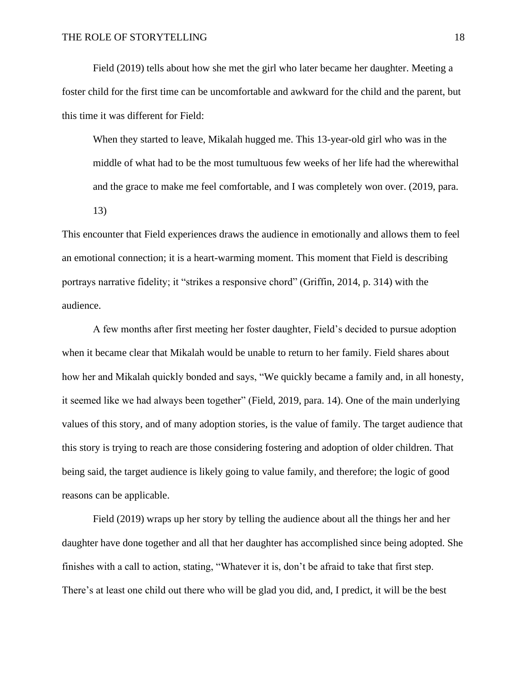Field (2019) tells about how she met the girl who later became her daughter. Meeting a foster child for the first time can be uncomfortable and awkward for the child and the parent, but this time it was different for Field:

When they started to leave, Mikalah hugged me. This 13-year-old girl who was in the middle of what had to be the most tumultuous few weeks of her life had the wherewithal and the grace to make me feel comfortable, and I was completely won over. (2019, para. 13)

This encounter that Field experiences draws the audience in emotionally and allows them to feel an emotional connection; it is a heart-warming moment. This moment that Field is describing portrays narrative fidelity; it "strikes a responsive chord" (Griffin, 2014, p. 314) with the audience.

A few months after first meeting her foster daughter, Field's decided to pursue adoption when it became clear that Mikalah would be unable to return to her family. Field shares about how her and Mikalah quickly bonded and says, "We quickly became a family and, in all honesty, it seemed like we had always been together" (Field, 2019, para. 14). One of the main underlying values of this story, and of many adoption stories, is the value of family. The target audience that this story is trying to reach are those considering fostering and adoption of older children. That being said, the target audience is likely going to value family, and therefore; the logic of good reasons can be applicable.

Field (2019) wraps up her story by telling the audience about all the things her and her daughter have done together and all that her daughter has accomplished since being adopted. She finishes with a call to action, stating, "Whatever it is, don't be afraid to take that first step. There's at least one child out there who will be glad you did, and, I predict, it will be the best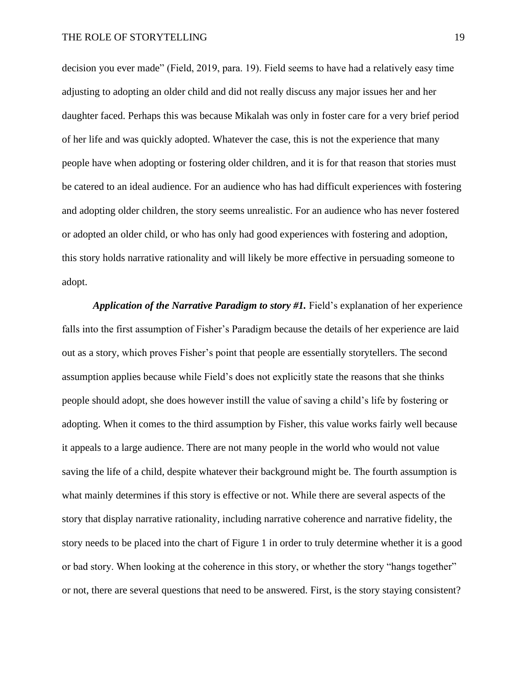decision you ever made" (Field, 2019, para. 19). Field seems to have had a relatively easy time adjusting to adopting an older child and did not really discuss any major issues her and her daughter faced. Perhaps this was because Mikalah was only in foster care for a very brief period of her life and was quickly adopted. Whatever the case, this is not the experience that many people have when adopting or fostering older children, and it is for that reason that stories must be catered to an ideal audience. For an audience who has had difficult experiences with fostering and adopting older children, the story seems unrealistic. For an audience who has never fostered or adopted an older child, or who has only had good experiences with fostering and adoption, this story holds narrative rationality and will likely be more effective in persuading someone to adopt.

*Application of the Narrative Paradigm to story #1.* Field's explanation of her experience falls into the first assumption of Fisher's Paradigm because the details of her experience are laid out as a story, which proves Fisher's point that people are essentially storytellers. The second assumption applies because while Field's does not explicitly state the reasons that she thinks people should adopt, she does however instill the value of saving a child's life by fostering or adopting. When it comes to the third assumption by Fisher, this value works fairly well because it appeals to a large audience. There are not many people in the world who would not value saving the life of a child, despite whatever their background might be. The fourth assumption is what mainly determines if this story is effective or not. While there are several aspects of the story that display narrative rationality, including narrative coherence and narrative fidelity, the story needs to be placed into the chart of Figure 1 in order to truly determine whether it is a good or bad story. When looking at the coherence in this story, or whether the story "hangs together" or not, there are several questions that need to be answered. First, is the story staying consistent?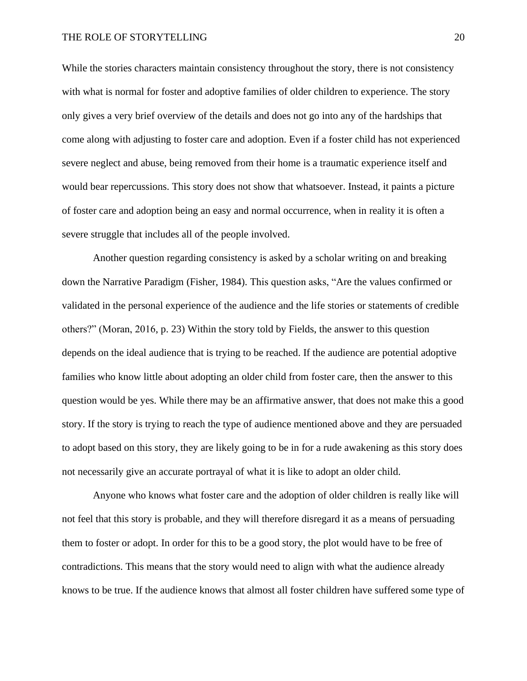While the stories characters maintain consistency throughout the story, there is not consistency with what is normal for foster and adoptive families of older children to experience. The story only gives a very brief overview of the details and does not go into any of the hardships that come along with adjusting to foster care and adoption. Even if a foster child has not experienced severe neglect and abuse, being removed from their home is a traumatic experience itself and would bear repercussions. This story does not show that whatsoever. Instead, it paints a picture of foster care and adoption being an easy and normal occurrence, when in reality it is often a severe struggle that includes all of the people involved.

Another question regarding consistency is asked by a scholar writing on and breaking down the Narrative Paradigm (Fisher, 1984). This question asks, "Are the values confirmed or validated in the personal experience of the audience and the life stories or statements of credible others?" (Moran, 2016, p. 23) Within the story told by Fields, the answer to this question depends on the ideal audience that is trying to be reached. If the audience are potential adoptive families who know little about adopting an older child from foster care, then the answer to this question would be yes. While there may be an affirmative answer, that does not make this a good story. If the story is trying to reach the type of audience mentioned above and they are persuaded to adopt based on this story, they are likely going to be in for a rude awakening as this story does not necessarily give an accurate portrayal of what it is like to adopt an older child.

Anyone who knows what foster care and the adoption of older children is really like will not feel that this story is probable, and they will therefore disregard it as a means of persuading them to foster or adopt. In order for this to be a good story, the plot would have to be free of contradictions. This means that the story would need to align with what the audience already knows to be true. If the audience knows that almost all foster children have suffered some type of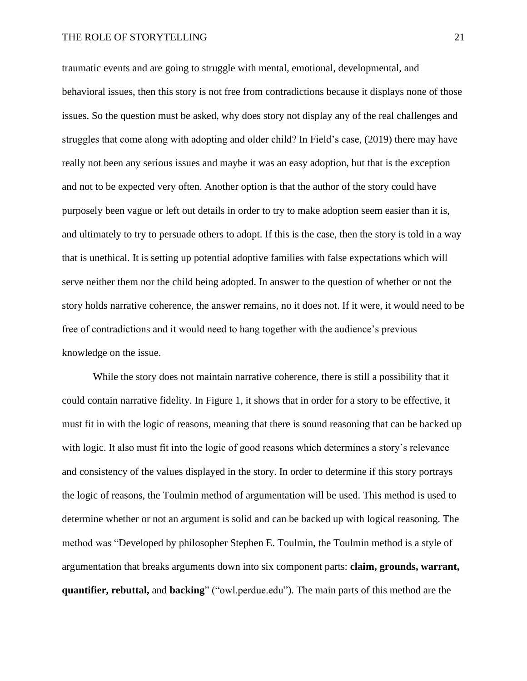traumatic events and are going to struggle with mental, emotional, developmental, and behavioral issues, then this story is not free from contradictions because it displays none of those issues. So the question must be asked, why does story not display any of the real challenges and struggles that come along with adopting and older child? In Field's case, (2019) there may have really not been any serious issues and maybe it was an easy adoption, but that is the exception and not to be expected very often. Another option is that the author of the story could have purposely been vague or left out details in order to try to make adoption seem easier than it is, and ultimately to try to persuade others to adopt. If this is the case, then the story is told in a way that is unethical. It is setting up potential adoptive families with false expectations which will serve neither them nor the child being adopted. In answer to the question of whether or not the story holds narrative coherence, the answer remains, no it does not. If it were, it would need to be free of contradictions and it would need to hang together with the audience's previous knowledge on the issue.

While the story does not maintain narrative coherence, there is still a possibility that it could contain narrative fidelity. In Figure 1, it shows that in order for a story to be effective, it must fit in with the logic of reasons, meaning that there is sound reasoning that can be backed up with logic. It also must fit into the logic of good reasons which determines a story's relevance and consistency of the values displayed in the story. In order to determine if this story portrays the logic of reasons, the Toulmin method of argumentation will be used. This method is used to determine whether or not an argument is solid and can be backed up with logical reasoning. The method was "Developed by philosopher Stephen E. Toulmin, the Toulmin method is a style of argumentation that breaks arguments down into six component parts: **claim, grounds, warrant, quantifier, rebuttal,** and **backing**" ("owl.perdue.edu"). The main parts of this method are the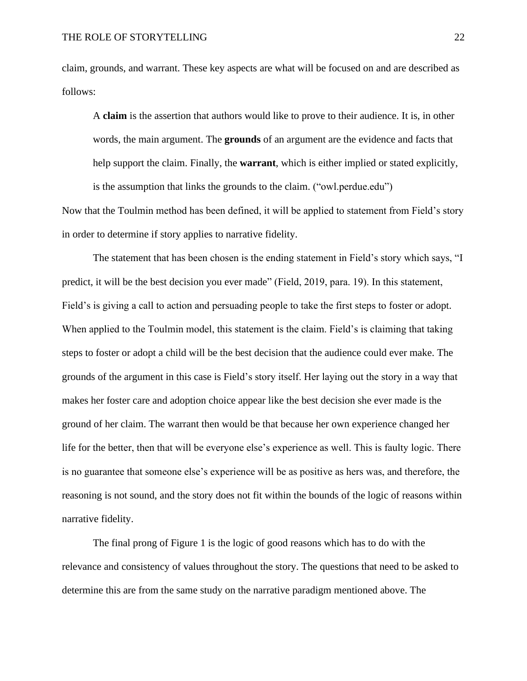claim, grounds, and warrant. These key aspects are what will be focused on and are described as follows:

A **claim** is the assertion that authors would like to prove to their audience. It is, in other words, the main argument. The **grounds** of an argument are the evidence and facts that help support the claim. Finally, the **warrant**, which is either implied or stated explicitly, is the assumption that links the grounds to the claim. ("owl.perdue.edu")

Now that the Toulmin method has been defined, it will be applied to statement from Field's story in order to determine if story applies to narrative fidelity.

The statement that has been chosen is the ending statement in Field's story which says, "I predict, it will be the best decision you ever made" (Field, 2019, para. 19). In this statement, Field's is giving a call to action and persuading people to take the first steps to foster or adopt. When applied to the Toulmin model, this statement is the claim. Field's is claiming that taking steps to foster or adopt a child will be the best decision that the audience could ever make. The grounds of the argument in this case is Field's story itself. Her laying out the story in a way that makes her foster care and adoption choice appear like the best decision she ever made is the ground of her claim. The warrant then would be that because her own experience changed her life for the better, then that will be everyone else's experience as well. This is faulty logic. There is no guarantee that someone else's experience will be as positive as hers was, and therefore, the reasoning is not sound, and the story does not fit within the bounds of the logic of reasons within narrative fidelity.

The final prong of Figure 1 is the logic of good reasons which has to do with the relevance and consistency of values throughout the story. The questions that need to be asked to determine this are from the same study on the narrative paradigm mentioned above. The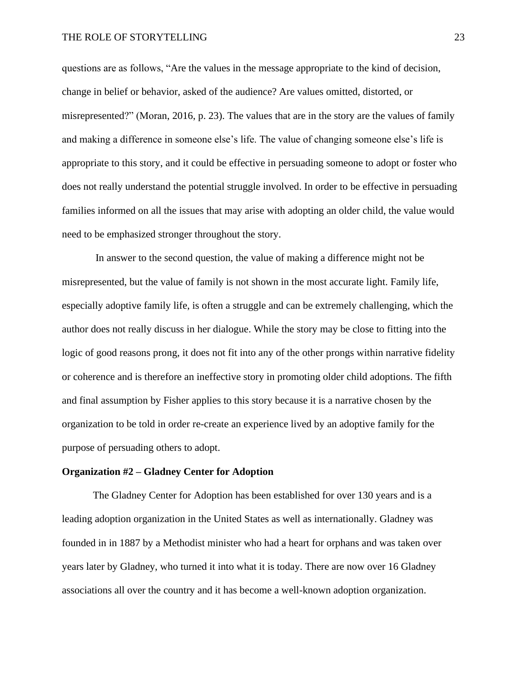questions are as follows, "Are the values in the message appropriate to the kind of decision, change in belief or behavior, asked of the audience? Are values omitted, distorted, or misrepresented?" (Moran, 2016, p. 23). The values that are in the story are the values of family and making a difference in someone else's life. The value of changing someone else's life is appropriate to this story, and it could be effective in persuading someone to adopt or foster who does not really understand the potential struggle involved. In order to be effective in persuading families informed on all the issues that may arise with adopting an older child, the value would need to be emphasized stronger throughout the story.

In answer to the second question, the value of making a difference might not be misrepresented, but the value of family is not shown in the most accurate light. Family life, especially adoptive family life, is often a struggle and can be extremely challenging, which the author does not really discuss in her dialogue. While the story may be close to fitting into the logic of good reasons prong, it does not fit into any of the other prongs within narrative fidelity or coherence and is therefore an ineffective story in promoting older child adoptions. The fifth and final assumption by Fisher applies to this story because it is a narrative chosen by the organization to be told in order re-create an experience lived by an adoptive family for the purpose of persuading others to adopt.

# **Organization #2 – Gladney Center for Adoption**

The Gladney Center for Adoption has been established for over 130 years and is a leading adoption organization in the United States as well as internationally. Gladney was founded in in 1887 by a Methodist minister who had a heart for orphans and was taken over years later by Gladney, who turned it into what it is today. There are now over 16 Gladney associations all over the country and it has become a well-known adoption organization.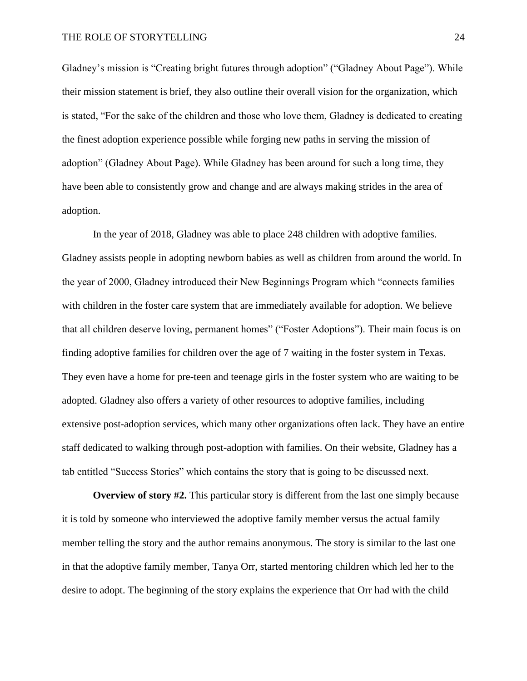Gladney's mission is "Creating bright futures through adoption" ("Gladney About Page"). While their mission statement is brief, they also outline their overall vision for the organization, which is stated, "For the sake of the children and those who love them, Gladney is dedicated to creating the finest adoption experience possible while forging new paths in serving the mission of adoption" (Gladney About Page). While Gladney has been around for such a long time, they have been able to consistently grow and change and are always making strides in the area of adoption.

In the year of 2018, Gladney was able to place 248 children with adoptive families. Gladney assists people in adopting newborn babies as well as children from around the world. In the year of 2000, Gladney introduced their New Beginnings Program which "connects families with children in the foster care system that are immediately available for adoption. We believe that all children deserve loving, permanent homes" ("Foster Adoptions"). Their main focus is on finding adoptive families for children over the age of 7 waiting in the foster system in Texas. They even have a home for pre-teen and teenage girls in the foster system who are waiting to be adopted. Gladney also offers a variety of other resources to adoptive families, including extensive post-adoption services, which many other organizations often lack. They have an entire staff dedicated to walking through post-adoption with families. On their website, Gladney has a tab entitled "Success Stories" which contains the story that is going to be discussed next.

**Overview of story #2.** This particular story is different from the last one simply because it is told by someone who interviewed the adoptive family member versus the actual family member telling the story and the author remains anonymous. The story is similar to the last one in that the adoptive family member, Tanya Orr, started mentoring children which led her to the desire to adopt. The beginning of the story explains the experience that Orr had with the child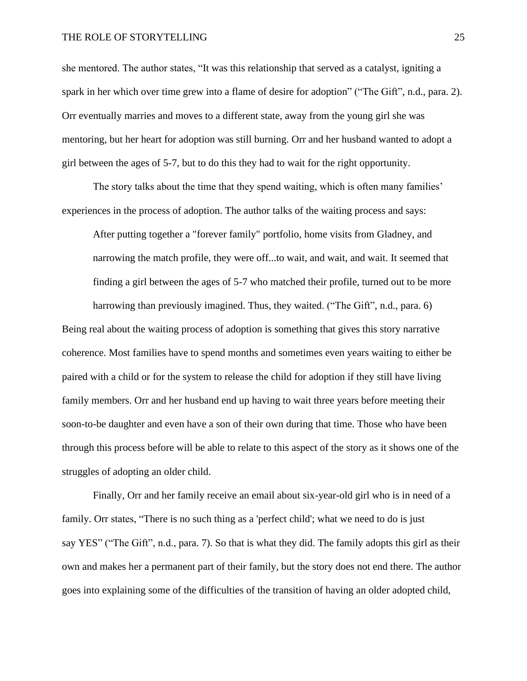she mentored. The author states, "It was this relationship that served as a catalyst, igniting a spark in her which over time grew into a flame of desire for adoption" ("The Gift", n.d., para. 2). Orr eventually marries and moves to a different state, away from the young girl she was mentoring, but her heart for adoption was still burning. Orr and her husband wanted to adopt a girl between the ages of 5-7, but to do this they had to wait for the right opportunity.

The story talks about the time that they spend waiting, which is often many families' experiences in the process of adoption. The author talks of the waiting process and says:

After putting together a "forever family" portfolio, home visits from Gladney, and narrowing the match profile, they were off...to wait, and wait, and wait. It seemed that finding a girl between the ages of 5-7 who matched their profile, turned out to be more harrowing than previously imagined. Thus, they waited. ("The Gift", n.d., para. 6)

Being real about the waiting process of adoption is something that gives this story narrative coherence. Most families have to spend months and sometimes even years waiting to either be paired with a child or for the system to release the child for adoption if they still have living family members. Orr and her husband end up having to wait three years before meeting their soon-to-be daughter and even have a son of their own during that time. Those who have been through this process before will be able to relate to this aspect of the story as it shows one of the struggles of adopting an older child.

Finally, Orr and her family receive an email about six-year-old girl who is in need of a family. Orr states, "There is no such thing as a 'perfect child'; what we need to do is just say YES" ("The Gift", n.d., para. 7). So that is what they did. The family adopts this girl as their own and makes her a permanent part of their family, but the story does not end there. The author goes into explaining some of the difficulties of the transition of having an older adopted child,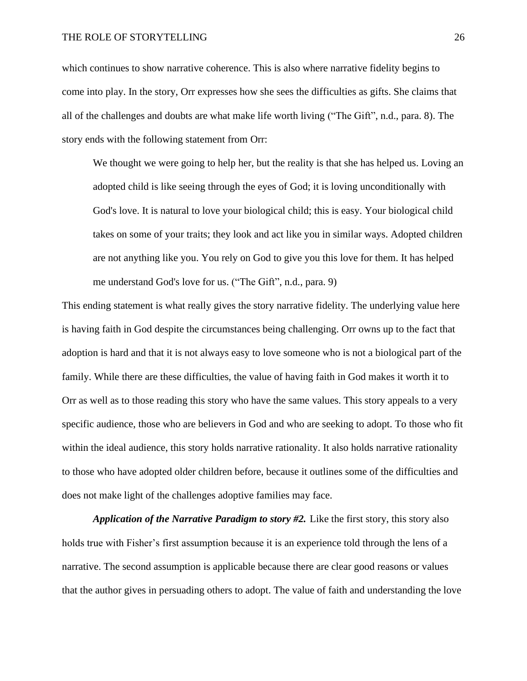which continues to show narrative coherence. This is also where narrative fidelity begins to come into play. In the story, Orr expresses how she sees the difficulties as gifts. She claims that all of the challenges and doubts are what make life worth living ("The Gift", n.d., para. 8). The story ends with the following statement from Orr:

We thought we were going to help her, but the reality is that she has helped us. Loving an adopted child is like seeing through the eyes of God; it is loving unconditionally with God's love. It is natural to love your biological child; this is easy. Your biological child takes on some of your traits; they look and act like you in similar ways. Adopted children are not anything like you. You rely on God to give you this love for them. It has helped me understand God's love for us. ("The Gift", n.d., para. 9)

This ending statement is what really gives the story narrative fidelity. The underlying value here is having faith in God despite the circumstances being challenging. Orr owns up to the fact that adoption is hard and that it is not always easy to love someone who is not a biological part of the family. While there are these difficulties, the value of having faith in God makes it worth it to Orr as well as to those reading this story who have the same values. This story appeals to a very specific audience, those who are believers in God and who are seeking to adopt. To those who fit within the ideal audience, this story holds narrative rationality. It also holds narrative rationality to those who have adopted older children before, because it outlines some of the difficulties and does not make light of the challenges adoptive families may face.

*Application of the Narrative Paradigm to story #2.* Like the first story, this story also holds true with Fisher's first assumption because it is an experience told through the lens of a narrative. The second assumption is applicable because there are clear good reasons or values that the author gives in persuading others to adopt. The value of faith and understanding the love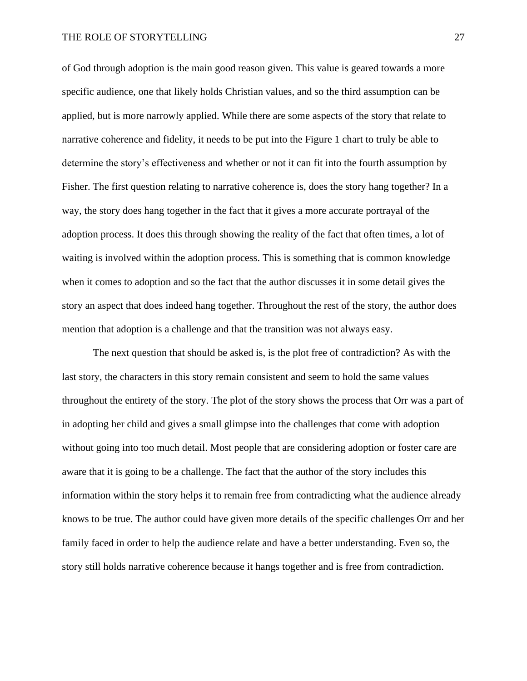of God through adoption is the main good reason given. This value is geared towards a more specific audience, one that likely holds Christian values, and so the third assumption can be applied, but is more narrowly applied. While there are some aspects of the story that relate to narrative coherence and fidelity, it needs to be put into the Figure 1 chart to truly be able to determine the story's effectiveness and whether or not it can fit into the fourth assumption by Fisher. The first question relating to narrative coherence is, does the story hang together? In a way, the story does hang together in the fact that it gives a more accurate portrayal of the adoption process. It does this through showing the reality of the fact that often times, a lot of waiting is involved within the adoption process. This is something that is common knowledge when it comes to adoption and so the fact that the author discusses it in some detail gives the story an aspect that does indeed hang together. Throughout the rest of the story, the author does mention that adoption is a challenge and that the transition was not always easy.

The next question that should be asked is, is the plot free of contradiction? As with the last story, the characters in this story remain consistent and seem to hold the same values throughout the entirety of the story. The plot of the story shows the process that Orr was a part of in adopting her child and gives a small glimpse into the challenges that come with adoption without going into too much detail. Most people that are considering adoption or foster care are aware that it is going to be a challenge. The fact that the author of the story includes this information within the story helps it to remain free from contradicting what the audience already knows to be true. The author could have given more details of the specific challenges Orr and her family faced in order to help the audience relate and have a better understanding. Even so, the story still holds narrative coherence because it hangs together and is free from contradiction.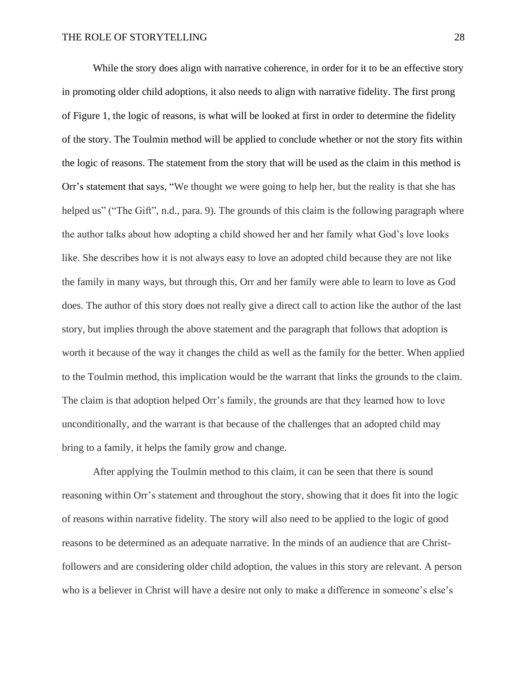While the story does align with narrative coherence, in order for it to be an effective story in promoting older child adoptions, it also needs to align with narrative fidelity. The first prong of Figure 1, the logic of reasons, is what will be looked at first in order to determine the fidelity of the story. The Toulmin method will be applied to conclude whether or not the story fits within the logic of reasons. The statement from the story that will be used as the claim in this method is Orr's statement that says, "We thought we were going to help her, but the reality is that she has helped us" ("The Gift", n.d., para. 9). The grounds of this claim is the following paragraph where the author talks about how adopting a child showed her and her family what God's love looks like. She describes how it is not always easy to love an adopted child because they are not like the family in many ways, but through this, Orr and her family were able to learn to love as God does. The author of this story does not really give a direct call to action like the author of the last story, but implies through the above statement and the paragraph that follows that adoption is worth it because of the way it changes the child as well as the family for the better. When applied to the Toulmin method, this implication would be the warrant that links the grounds to the claim. The claim is that adoption helped Orr's family, the grounds are that they learned how to love unconditionally, and the warrant is that because of the challenges that an adopted child may bring to a family, it helps the family grow and change.

After applying the Toulmin method to this claim, it can be seen that there is sound reasoning within Orr's statement and throughout the story, showing that it does fit into the logic of reasons within narrative fidelity. The story will also need to be applied to the logic of good reasons to be determined as an adequate narrative. In the minds of an audience that are Christfollowers and are considering older child adoption, the values in this story are relevant. A person who is a believer in Christ will have a desire not only to make a difference in someone's else's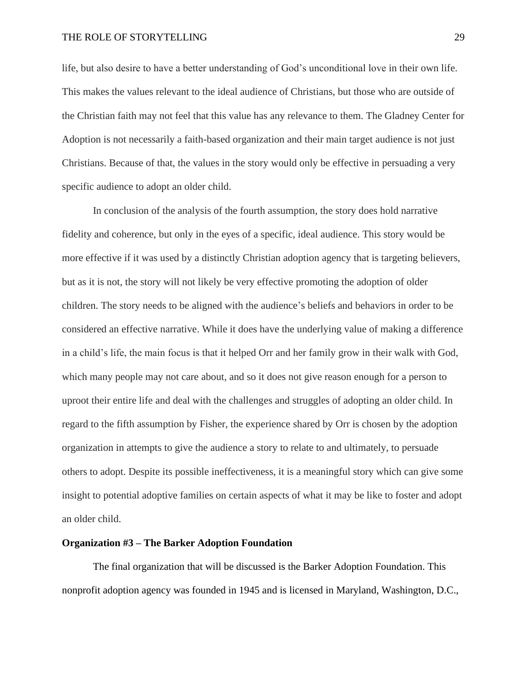life, but also desire to have a better understanding of God's unconditional love in their own life. This makes the values relevant to the ideal audience of Christians, but those who are outside of the Christian faith may not feel that this value has any relevance to them. The Gladney Center for Adoption is not necessarily a faith-based organization and their main target audience is not just Christians. Because of that, the values in the story would only be effective in persuading a very specific audience to adopt an older child.

In conclusion of the analysis of the fourth assumption, the story does hold narrative fidelity and coherence, but only in the eyes of a specific, ideal audience. This story would be more effective if it was used by a distinctly Christian adoption agency that is targeting believers, but as it is not, the story will not likely be very effective promoting the adoption of older children. The story needs to be aligned with the audience's beliefs and behaviors in order to be considered an effective narrative. While it does have the underlying value of making a difference in a child's life, the main focus is that it helped Orr and her family grow in their walk with God, which many people may not care about, and so it does not give reason enough for a person to uproot their entire life and deal with the challenges and struggles of adopting an older child. In regard to the fifth assumption by Fisher, the experience shared by Orr is chosen by the adoption organization in attempts to give the audience a story to relate to and ultimately, to persuade others to adopt. Despite its possible ineffectiveness, it is a meaningful story which can give some insight to potential adoptive families on certain aspects of what it may be like to foster and adopt an older child.

#### **Organization #3 – The Barker Adoption Foundation**

The final organization that will be discussed is the Barker Adoption Foundation. This nonprofit adoption agency was founded in 1945 and is licensed in Maryland, Washington, D.C.,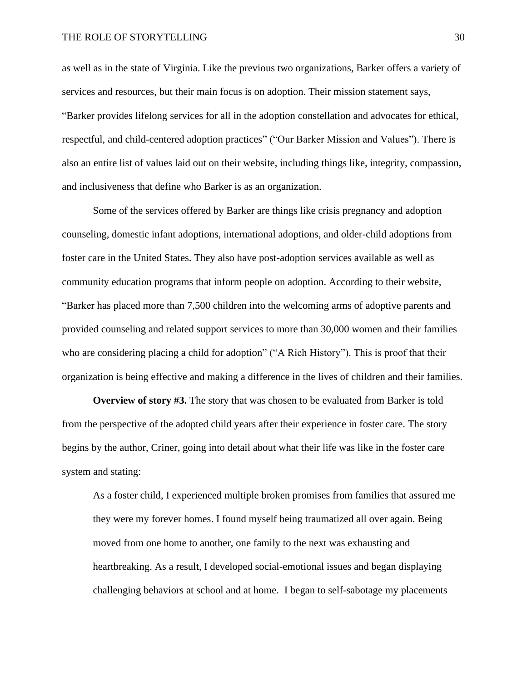as well as in the state of Virginia. Like the previous two organizations, Barker offers a variety of services and resources, but their main focus is on adoption. Their mission statement says, "Barker provides lifelong services for all in the adoption constellation and advocates for ethical, respectful, and child-centered adoption practices" ("Our Barker Mission and Values"). There is also an entire list of values laid out on their website, including things like, integrity, compassion, and inclusiveness that define who Barker is as an organization.

Some of the services offered by Barker are things like crisis pregnancy and adoption counseling, domestic infant adoptions, international adoptions, and older-child adoptions from foster care in the United States. They also have post-adoption services available as well as community education programs that inform people on adoption. According to their website, "Barker has placed more than 7,500 children into the welcoming arms of adoptive parents and provided counseling and related support services to more than 30,000 women and their families who are considering placing a child for adoption" ("A Rich History"). This is proof that their organization is being effective and making a difference in the lives of children and their families.

**Overview of story #3.** The story that was chosen to be evaluated from Barker is told from the perspective of the adopted child years after their experience in foster care. The story begins by the author, Criner, going into detail about what their life was like in the foster care system and stating:

As a foster child, I experienced multiple broken promises from families that assured me they were my forever homes. I found myself being traumatized all over again. Being moved from one home to another, one family to the next was exhausting and heartbreaking. As a result, I developed social-emotional issues and began displaying challenging behaviors at school and at home. I began to self-sabotage my placements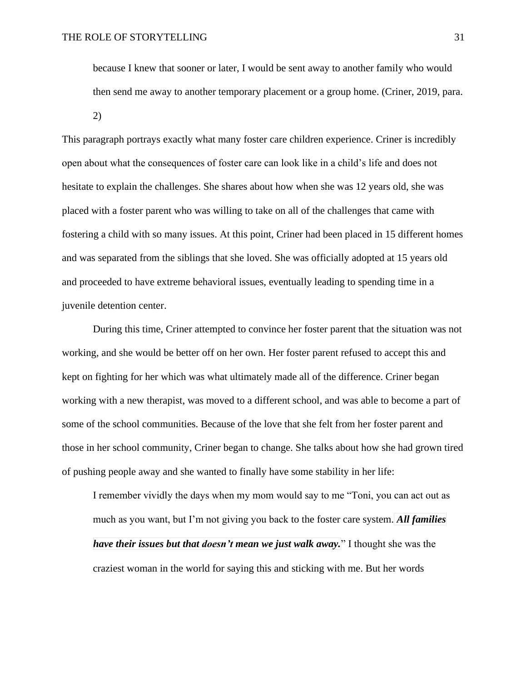because I knew that sooner or later, I would be sent away to another family who would then send me away to another temporary placement or a group home. (Criner, 2019, para. 2)

This paragraph portrays exactly what many foster care children experience. Criner is incredibly open about what the consequences of foster care can look like in a child's life and does not hesitate to explain the challenges. She shares about how when she was 12 years old, she was placed with a foster parent who was willing to take on all of the challenges that came with fostering a child with so many issues. At this point, Criner had been placed in 15 different homes and was separated from the siblings that she loved. She was officially adopted at 15 years old and proceeded to have extreme behavioral issues, eventually leading to spending time in a juvenile detention center.

During this time, Criner attempted to convince her foster parent that the situation was not working, and she would be better off on her own. Her foster parent refused to accept this and kept on fighting for her which was what ultimately made all of the difference. Criner began working with a new therapist, was moved to a different school, and was able to become a part of some of the school communities. Because of the love that she felt from her foster parent and those in her school community, Criner began to change. She talks about how she had grown tired of pushing people away and she wanted to finally have some stability in her life:

I remember vividly the days when my mom would say to me "Toni, you can act out as much as you want, but I'm not giving you back to the foster care system. *All families have their issues but that doesn't mean we just walk away.*" I thought she was the craziest woman in the world for saying this and sticking with me. But her words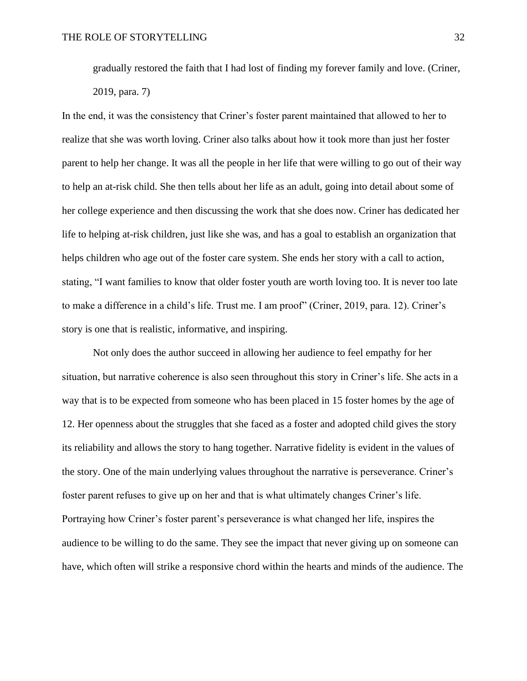gradually restored the faith that I had lost of finding my forever family and love. (Criner, 2019, para. 7)

In the end, it was the consistency that Criner's foster parent maintained that allowed to her to realize that she was worth loving. Criner also talks about how it took more than just her foster parent to help her change. It was all the people in her life that were willing to go out of their way to help an at-risk child. She then tells about her life as an adult, going into detail about some of her college experience and then discussing the work that she does now. Criner has dedicated her life to helping at-risk children, just like she was, and has a goal to establish an organization that helps children who age out of the foster care system. She ends her story with a call to action, stating, "I want families to know that older foster youth are worth loving too. It is never too late to make a difference in a child's life. Trust me. I am proof" (Criner, 2019, para. 12). Criner's story is one that is realistic, informative, and inspiring.

Not only does the author succeed in allowing her audience to feel empathy for her situation, but narrative coherence is also seen throughout this story in Criner's life. She acts in a way that is to be expected from someone who has been placed in 15 foster homes by the age of 12. Her openness about the struggles that she faced as a foster and adopted child gives the story its reliability and allows the story to hang together. Narrative fidelity is evident in the values of the story. One of the main underlying values throughout the narrative is perseverance. Criner's foster parent refuses to give up on her and that is what ultimately changes Criner's life. Portraying how Criner's foster parent's perseverance is what changed her life, inspires the audience to be willing to do the same. They see the impact that never giving up on someone can have, which often will strike a responsive chord within the hearts and minds of the audience. The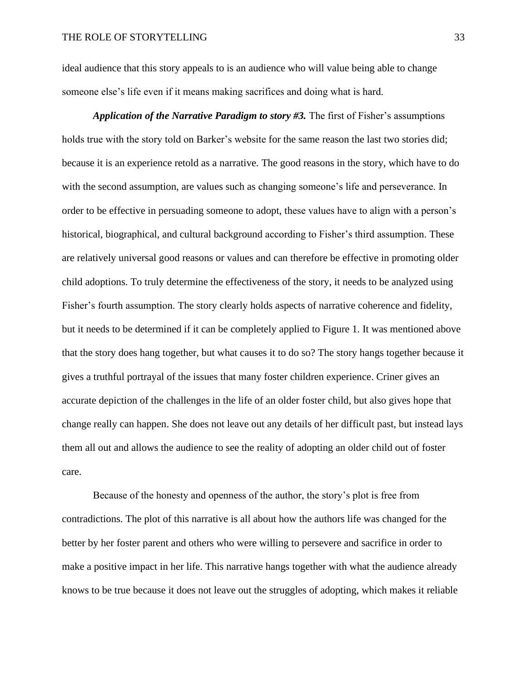ideal audience that this story appeals to is an audience who will value being able to change someone else's life even if it means making sacrifices and doing what is hard.

*Application of the Narrative Paradigm to story #3.* The first of Fisher's assumptions holds true with the story told on Barker's website for the same reason the last two stories did; because it is an experience retold as a narrative. The good reasons in the story, which have to do with the second assumption, are values such as changing someone's life and perseverance. In order to be effective in persuading someone to adopt, these values have to align with a person's historical, biographical, and cultural background according to Fisher's third assumption. These are relatively universal good reasons or values and can therefore be effective in promoting older child adoptions. To truly determine the effectiveness of the story, it needs to be analyzed using Fisher's fourth assumption. The story clearly holds aspects of narrative coherence and fidelity, but it needs to be determined if it can be completely applied to Figure 1. It was mentioned above that the story does hang together, but what causes it to do so? The story hangs together because it gives a truthful portrayal of the issues that many foster children experience. Criner gives an accurate depiction of the challenges in the life of an older foster child, but also gives hope that change really can happen. She does not leave out any details of her difficult past, but instead lays them all out and allows the audience to see the reality of adopting an older child out of foster care.

Because of the honesty and openness of the author, the story's plot is free from contradictions. The plot of this narrative is all about how the authors life was changed for the better by her foster parent and others who were willing to persevere and sacrifice in order to make a positive impact in her life. This narrative hangs together with what the audience already knows to be true because it does not leave out the struggles of adopting, which makes it reliable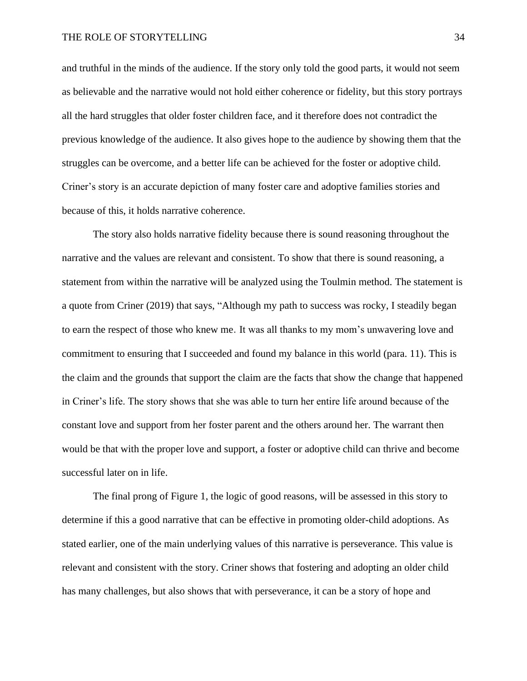and truthful in the minds of the audience. If the story only told the good parts, it would not seem as believable and the narrative would not hold either coherence or fidelity, but this story portrays all the hard struggles that older foster children face, and it therefore does not contradict the previous knowledge of the audience. It also gives hope to the audience by showing them that the struggles can be overcome, and a better life can be achieved for the foster or adoptive child. Criner's story is an accurate depiction of many foster care and adoptive families stories and because of this, it holds narrative coherence.

The story also holds narrative fidelity because there is sound reasoning throughout the narrative and the values are relevant and consistent. To show that there is sound reasoning, a statement from within the narrative will be analyzed using the Toulmin method. The statement is a quote from Criner (2019) that says, "Although my path to success was rocky, I steadily began to earn the respect of those who knew me. It was all thanks to my mom's unwavering love and commitment to ensuring that I succeeded and found my balance in this world (para. 11). This is the claim and the grounds that support the claim are the facts that show the change that happened in Criner's life. The story shows that she was able to turn her entire life around because of the constant love and support from her foster parent and the others around her. The warrant then would be that with the proper love and support, a foster or adoptive child can thrive and become successful later on in life.

The final prong of Figure 1, the logic of good reasons, will be assessed in this story to determine if this a good narrative that can be effective in promoting older-child adoptions. As stated earlier, one of the main underlying values of this narrative is perseverance. This value is relevant and consistent with the story. Criner shows that fostering and adopting an older child has many challenges, but also shows that with perseverance, it can be a story of hope and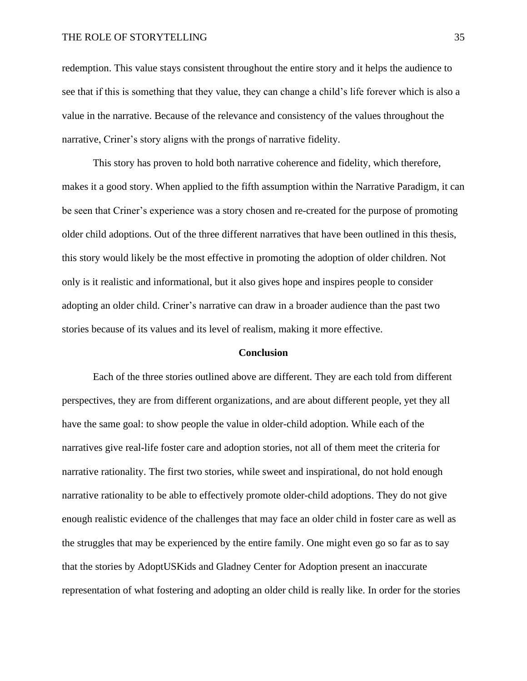redemption. This value stays consistent throughout the entire story and it helps the audience to see that if this is something that they value, they can change a child's life forever which is also a value in the narrative. Because of the relevance and consistency of the values throughout the narrative, Criner's story aligns with the prongs of narrative fidelity.

This story has proven to hold both narrative coherence and fidelity, which therefore, makes it a good story. When applied to the fifth assumption within the Narrative Paradigm, it can be seen that Criner's experience was a story chosen and re-created for the purpose of promoting older child adoptions. Out of the three different narratives that have been outlined in this thesis, this story would likely be the most effective in promoting the adoption of older children. Not only is it realistic and informational, but it also gives hope and inspires people to consider adopting an older child. Criner's narrative can draw in a broader audience than the past two stories because of its values and its level of realism, making it more effective.

#### **Conclusion**

Each of the three stories outlined above are different. They are each told from different perspectives, they are from different organizations, and are about different people, yet they all have the same goal: to show people the value in older-child adoption. While each of the narratives give real-life foster care and adoption stories, not all of them meet the criteria for narrative rationality. The first two stories, while sweet and inspirational, do not hold enough narrative rationality to be able to effectively promote older-child adoptions. They do not give enough realistic evidence of the challenges that may face an older child in foster care as well as the struggles that may be experienced by the entire family. One might even go so far as to say that the stories by AdoptUSKids and Gladney Center for Adoption present an inaccurate representation of what fostering and adopting an older child is really like. In order for the stories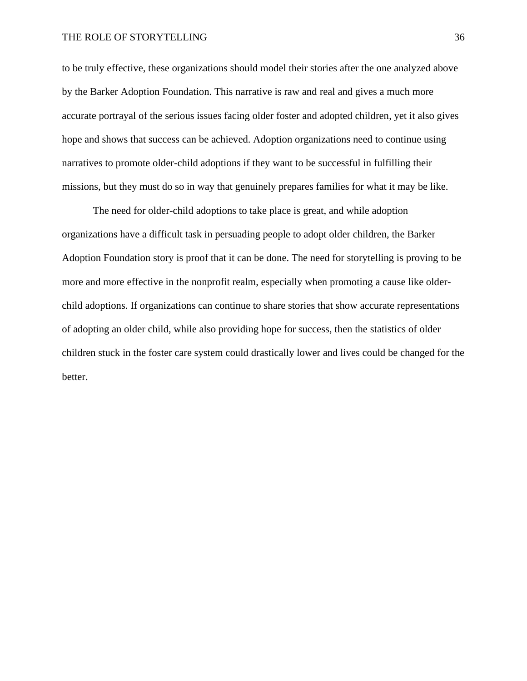to be truly effective, these organizations should model their stories after the one analyzed above by the Barker Adoption Foundation. This narrative is raw and real and gives a much more accurate portrayal of the serious issues facing older foster and adopted children, yet it also gives hope and shows that success can be achieved. Adoption organizations need to continue using narratives to promote older-child adoptions if they want to be successful in fulfilling their missions, but they must do so in way that genuinely prepares families for what it may be like.

The need for older-child adoptions to take place is great, and while adoption organizations have a difficult task in persuading people to adopt older children, the Barker Adoption Foundation story is proof that it can be done. The need for storytelling is proving to be more and more effective in the nonprofit realm, especially when promoting a cause like olderchild adoptions. If organizations can continue to share stories that show accurate representations of adopting an older child, while also providing hope for success, then the statistics of older children stuck in the foster care system could drastically lower and lives could be changed for the better.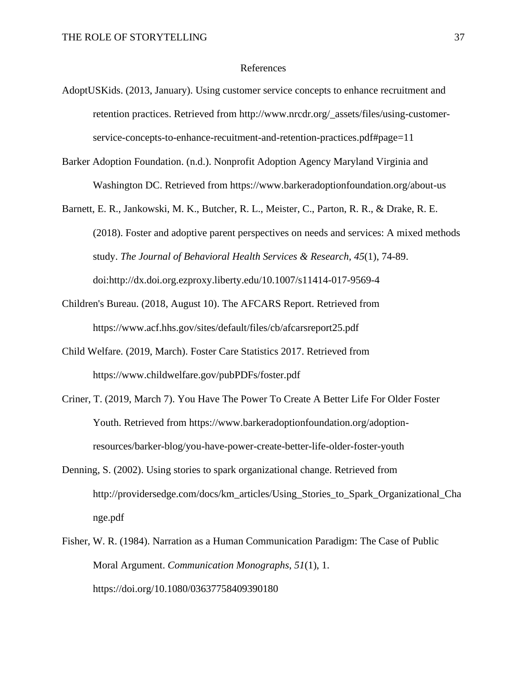#### References

- AdoptUSKids. (2013, January). Using customer service concepts to enhance recruitment and retention practices. Retrieved from http://www.nrcdr.org/\_assets/files/using-customerservice-concepts-to-enhance-recuitment-and-retention-practices.pdf#page=11
- Barker Adoption Foundation. (n.d.). Nonprofit Adoption Agency Maryland Virginia and Washington DC. Retrieved from https://www.barkeradoptionfoundation.org/about-us
- Barnett, E. R., Jankowski, M. K., Butcher, R. L., Meister, C., Parton, R. R., & Drake, R. E. (2018). Foster and adoptive parent perspectives on needs and services: A mixed methods study. *The Journal of Behavioral Health Services & Research, 45*(1), 74-89. doi:http://dx.doi.org.ezproxy.liberty.edu/10.1007/s11414-017-9569-4
- Children's Bureau. (2018, August 10). The AFCARS Report. Retrieved from https://www.acf.hhs.gov/sites/default/files/cb/afcarsreport25.pdf
- Child Welfare. (2019, March). Foster Care Statistics 2017. Retrieved from https://www.childwelfare.gov/pubPDFs/foster.pdf
- Criner, T. (2019, March 7). You Have The Power To Create A Better Life For Older Foster Youth. Retrieved from https://www.barkeradoptionfoundation.org/adoptionresources/barker-blog/you-have-power-create-better-life-older-foster-youth
- Denning, S. (2002). Using stories to spark organizational change. Retrieved from http://providersedge.com/docs/km\_articles/Using\_Stories\_to\_Spark\_Organizational\_Cha nge.pdf
- Fisher, W. R. (1984). Narration as a Human Communication Paradigm: The Case of Public Moral Argument. *Communication Monographs*, *51*(1), 1. https://doi.org/10.1080/03637758409390180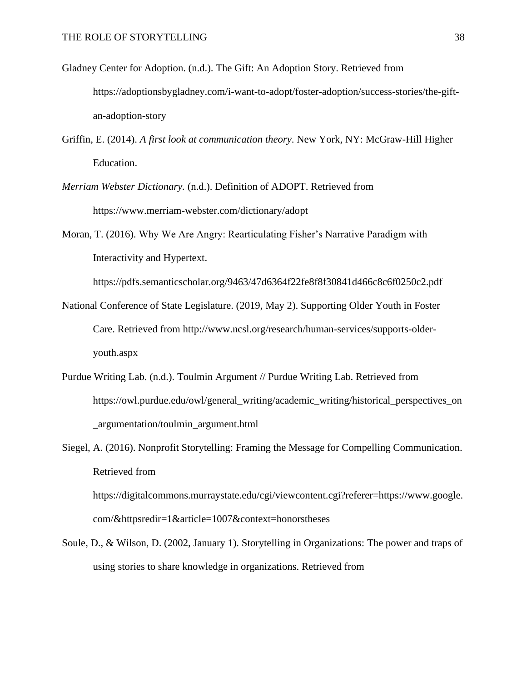- Gladney Center for Adoption. (n.d.). The Gift: An Adoption Story. Retrieved from https://adoptionsbygladney.com/i-want-to-adopt/foster-adoption/success-stories/the-giftan-adoption-story
- Griffin, E. (2014). *A first look at communication theory*. New York, NY: McGraw-Hill Higher Education.
- *Merriam Webster Dictionary.* (n.d.). Definition of ADOPT. Retrieved from https://www.merriam-webster.com/dictionary/adopt
- Moran, T. (2016). Why We Are Angry: Rearticulating Fisher's Narrative Paradigm with Interactivity and Hypertext.

https://pdfs.semanticscholar.org/9463/47d6364f22fe8f8f30841d466c8c6f0250c2.pdf

- National Conference of State Legislature. (2019, May 2). Supporting Older Youth in Foster Care. Retrieved from http://www.ncsl.org/research/human-services/supports-olderyouth.aspx
- Purdue Writing Lab. (n.d.). Toulmin Argument // Purdue Writing Lab. Retrieved from https://owl.purdue.edu/owl/general\_writing/academic\_writing/historical\_perspectives\_on \_argumentation/toulmin\_argument.html
- Siegel, A. (2016). Nonprofit Storytelling: Framing the Message for Compelling Communication. Retrieved from https://digitalcommons.murraystate.edu/cgi/viewcontent.cgi?referer=https://www.google. com/&httpsredir=1&article=1007&context=honorstheses
- Soule, D., & Wilson, D. (2002, January 1). Storytelling in Organizations: The power and traps of using stories to share knowledge in organizations. Retrieved from